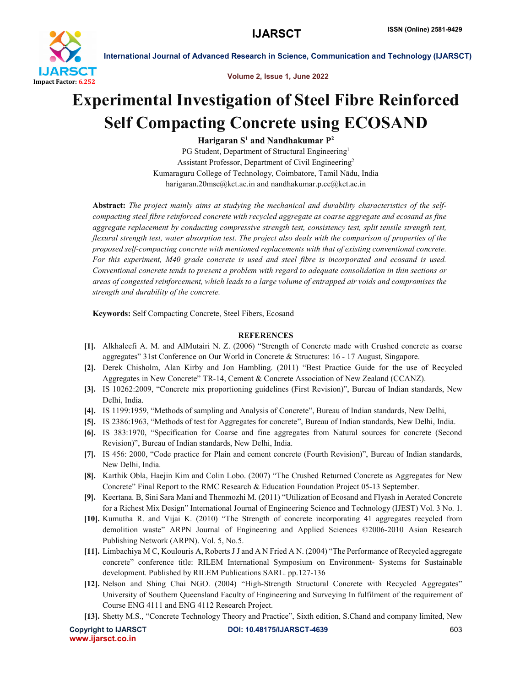

International Journal of Advanced Research in Science, Communication and Technology (IJARSCT)

Volume 2, Issue 1, June 2022

# Experimental Investigation of Steel Fibre Reinforced Self Compacting Concrete using ECOSAND

Harigaran  $S^1$  and Nandhakumar  $P^2$ 

PG Student, Department of Structural Engineering<sup>1</sup> Assistant Professor, Department of Civil Engineering2 Kumaraguru College of Technology, Coimbatore, Tamil Nādu, India harigaran.20mse@kct.ac.in and nandhakumar.p.ce@kct.ac.in

Abstract: *The project mainly aims at studying the mechanical and durability characteristics of the selfcompacting steel fibre reinforced concrete with recycled aggregate as coarse aggregate and ecosand as fine aggregate replacement by conducting compressive strength test, consistency test, split tensile strength test, flexural strength test, water absorption test. The project also deals with the comparison of properties of the proposed self-compacting concrete with mentioned replacements with that of existing conventional concrete. For this experiment, M40 grade concrete is used and steel fibre is incorporated and ecosand is used. Conventional concrete tends to present a problem with regard to adequate consolidation in thin sections or areas of congested reinforcement, which leads to a large volume of entrapped air voids and compromises the strength and durability of the concrete.*

Keywords: Self Compacting Concrete, Steel Fibers, Ecosand

### **REFERENCES**

- [1]. Alkhaleefi A. M. and AlMutairi N. Z. (2006) "Strength of Concrete made with Crushed concrete as coarse aggregates" 31st Conference on Our World in Concrete & Structures: 16 - 17 August, Singapore.
- [2]. Derek Chisholm, Alan Kirby and Jon Hambling. (2011) "Best Practice Guide for the use of Recycled Aggregates in New Concrete" TR-14, Cement & Concrete Association of New Zealand (CCANZ).
- [3]. IS 10262:2009, "Concrete mix proportioning guidelines (First Revision)", Bureau of Indian standards, New Delhi, India.
- [4]. IS 1199:1959, "Methods of sampling and Analysis of Concrete", Bureau of Indian standards, New Delhi,
- [5]. IS 2386:1963, "Methods of test for Aggregates for concrete", Bureau of Indian standards, New Delhi, India.
- [6]. IS 383:1970, "Specification for Coarse and fine aggregates from Natural sources for concrete (Second Revision)", Bureau of Indian standards, New Delhi, India.
- [7]. IS 456: 2000, "Code practice for Plain and cement concrete (Fourth Revision)", Bureau of Indian standards, New Delhi, India.
- [8]. Karthik Obla, Haejin Kim and Colin Lobo. (2007) "The Crushed Returned Concrete as Aggregates for New Concrete" Final Report to the RMC Research & Education Foundation Project 05-13 September.
- [9]. Keertana. B, Sini Sara Mani and Thenmozhi M. (2011) "Utilization of Ecosand and Flyash in Aerated Concrete for a Richest Mix Design" International Journal of Engineering Science and Technology (IJEST) Vol. 3 No. 1.
- [10]. Kumutha R. and Vijai K. (2010) "The Strength of concrete incorporating 41 aggregates recycled from demolition waste" ARPN Journal of Engineering and Applied Sciences ©2006-2010 Asian Research Publishing Network (ARPN). Vol. 5, No.5.
- [11]. Limbachiya M C, Koulouris A, Roberts J J and A N Fried A N. (2004) "The Performance of Recycled aggregate concrete" conference title: RILEM International Symposium on Environment- Systems for Sustainable development. Published by RILEM Publications SARL. pp.127-136
- [12]. Nelson and Shing Chai NGO. (2004) "High-Strength Structural Concrete with Recycled Aggregates" University of Southern Queensland Faculty of Engineering and Surveying In fulfilment of the requirement of Course ENG 4111 and ENG 4112 Research Project.
- [13]. Shetty M.S., "Concrete Technology Theory and Practice", Sixth edition, S.Chand and company limited, New

www.ijarsct.co.in